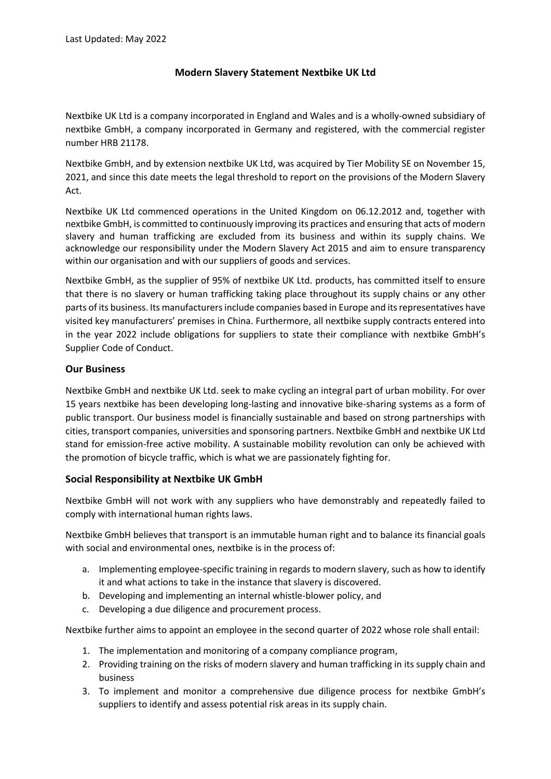## **Modern Slavery Statement Nextbike UK Ltd**

Nextbike UK Ltd is a company incorporated in England and Wales and is a wholly-owned subsidiary of nextbike GmbH, a company incorporated in Germany and registered, with the commercial register number HRB 21178.

Nextbike GmbH, and by extension nextbike UK Ltd, was acquired by Tier Mobility SE on November 15, 2021, and since this date meets the legal threshold to report on the provisions of the Modern Slavery Act.

Nextbike UK Ltd commenced operations in the United Kingdom on 06.12.2012 and, together with nextbike GmbH, is committed to continuously improving its practices and ensuring that acts of modern slavery and human trafficking are excluded from its business and within its supply chains. We acknowledge our responsibility under the Modern Slavery Act 2015 and aim to ensure transparency within our organisation and with our suppliers of goods and services.

Nextbike GmbH, as the supplier of 95% of nextbike UK Ltd. products, has committed itself to ensure that there is no slavery or human trafficking taking place throughout its supply chains or any other parts of its business. Its manufacturers include companies based in Europe and itsrepresentatives have visited key manufacturers' premises in China. Furthermore, all nextbike supply contracts entered into in the year 2022 include obligations for suppliers to state their compliance with nextbike GmbH's Supplier Code of Conduct.

## **Our Business**

Nextbike GmbH and nextbike UK Ltd. seek to make cycling an integral part of urban mobility. For over 15 years nextbike has been developing long-lasting and innovative bike-sharing systems as a form of public transport. Our business model is financially sustainable and based on strong partnerships with cities, transport companies, universities and sponsoring partners. Nextbike GmbH and nextbike UK Ltd stand for emission-free active mobility. A sustainable mobility revolution can only be achieved with the promotion of bicycle traffic, which is what we are passionately fighting for.

## **Social Responsibility at Nextbike UK GmbH**

Nextbike GmbH will not work with any suppliers who have demonstrably and repeatedly failed to comply with international human rights laws.

Nextbike GmbH believes that transport is an immutable human right and to balance its financial goals with social and environmental ones, nextbike is in the process of:

- a. Implementing employee-specific training in regards to modern slavery, such as how to identify it and what actions to take in the instance that slavery is discovered.
- b. Developing and implementing an internal whistle-blower policy, and
- c. Developing a due diligence and procurement process.

Nextbike further aims to appoint an employee in the second quarter of 2022 whose role shall entail:

- 1. The implementation and monitoring of a company compliance program,
- 2. Providing training on the risks of modern slavery and human trafficking in its supply chain and business
- 3. To implement and monitor a comprehensive due diligence process for nextbike GmbH's suppliers to identify and assess potential risk areas in its supply chain.